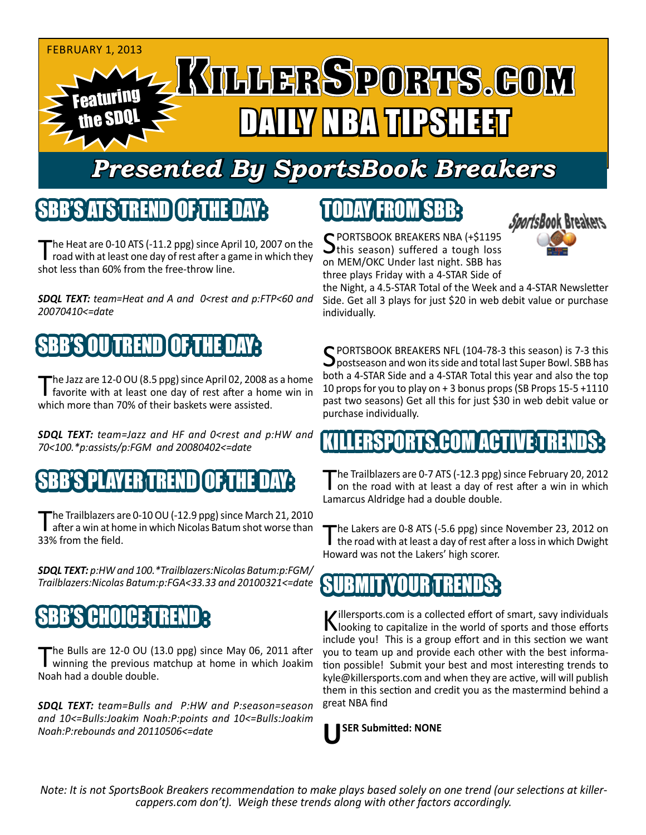

## *Presented By SportsBook Breakers*

#### SBB'S ATS TREND

The Heat are 0-10 ATS (-11.2 ppg) since April 10, 2007 on the I road with at least one day of rest after a game in which they shot less than 60% from the free-throw line.

*SDQL TEXT: team=Heat and A and 0<rest and p:FTP<60 and 20070410<=date*

## B'S OU TREND

The Jazz are 12-0 OU (8.5 ppg) since April 02, 2008 as a home<br>favorite with at least one day of rest after a home win in which more than 70% of their baskets were assisted.

*SDQL TEXT: team=Jazz and HF and 0<rest and p:HW and 70<100.\*p:assists/p:FGM and 20080402<=date*

#### SEPLAYER TREN

The Trailblazers are 0-10 OU (-12.9 ppg) since March 21, 2010<br>after a win at home in which Nicolas Batum shot worse than 33% from the field.

*SDQL TEXT: p:HW and 100.\*Trailblazers:Nicolas Batum:p:FGM/ Trailblazers:Nicolas Batum:p:FGA<33.33 and 20100321<=date*

## **SBB'S CHOICE TR**

The Bulls are 12-0 OU (13.0 ppg) since May 06, 2011 after<br>winning the previous matchup at home in which Joakim Noah had a double double.

*SDQL TEXT: team=Bulls and P:HW and P:season=season and 10<=Bulls:Joakim Noah:P:points and 10<=Bulls:Joakim Noah:P:rebounds and 20110506<=date*

# TODAY FROM SBB:



SPORTSBOOK BREAKERS NBA (+\$1195)<br>this season) suffered a tough loss on MEM/OKC Under last night. SBB has three plays Friday with a 4-STAR Side of

the Night, a 4.5-STAR Total of the Week and a 4-STAR Newsletter Side. Get all 3 plays for just \$20 in web debit value or purchase individually.

SPORTSBOOK BREAKERS NFL (104-78-3 this season) is 7-3 this<br>postseason and won its side and total last Super Bowl. SBB has both a 4-STAR Side and a 4-STAR Total this year and also the top 10 props for you to play on + 3 bonus props (SB Props 15-5 +1110 past two seasons) Get all this for just \$30 in web debit value or purchase individually.

## ERSPORTS.COM ACTIVE TRE

The Trailblazers are 0-7 ATS (-12.3 ppg) since February 20, 2012<br>
on the road with at least a day of rest after a win in which Lamarcus Aldridge had a double double.

The Lakers are 0-8 ATS (-5.6 ppg) since November 23, 2012 on the road with at least a day of rest after a loss in which Dwight Howard was not the Lakers' high scorer.



Killersports.com is a collected effort of smart, savy individuals<br>Nooking to capitalize in the world of sports and those efforts include you! This is a group effort and in this section we want you to team up and provide each other with the best information possible! Submit your best and most interesting trends to kyle@killersports.com and when they are active, will will publish them in this section and credit you as the mastermind behind a great NBA find

**USER Submitted: NONE**

*Note: It is not SportsBook Breakers recommendation to make plays based solely on one trend (our selections at killercappers.com don't). Weigh these trends along with other factors accordingly.*